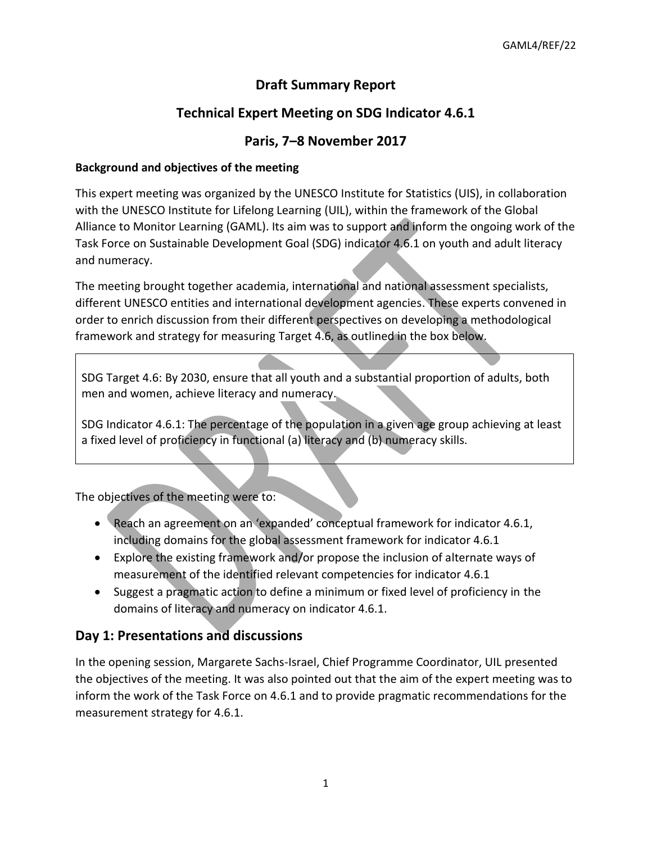# **Draft Summary Report**

# **Technical Expert Meeting on SDG Indicator 4.6.1**

## **Paris, 7–8 November 2017**

### **Background and objectives of the meeting**

This expert meeting was organized by the UNESCO Institute for Statistics (UIS), in collaboration with the UNESCO Institute for Lifelong Learning (UIL), within the framework of the Global Alliance to Monitor Learning (GAML). Its aim was to support and inform the ongoing work of the Task Force on Sustainable Development Goal (SDG) indicator 4.6.1 on youth and adult literacy and numeracy.

The meeting brought together academia, international and national assessment specialists, different UNESCO entities and international development agencies. These experts convened in order to enrich discussion from their different perspectives on developing a methodological framework and strategy for measuring Target 4.6, as outlined in the box below.

SDG Target 4.6: By 2030, ensure that all youth and a substantial proportion of adults, both men and women, achieve literacy and numeracy.

SDG Indicator 4.6.1: The percentage of the population in a given age group achieving at least a fixed level of proficiency in functional (a) literacy and (b) numeracy skills.

The objectives of the meeting were to:

- Reach an agreement on an 'expanded' conceptual framework for indicator 4.6.1, including domains for the global assessment framework for indicator 4.6.1
- Explore the existing framework and/or propose the inclusion of alternate ways of measurement of the identified relevant competencies for indicator 4.6.1
- Suggest a pragmatic action to define a minimum or fixed level of proficiency in the domains of literacy and numeracy on indicator 4.6.1.

## **Day 1: Presentations and discussions**

In the opening session, Margarete Sachs-Israel, Chief Programme Coordinator, UIL presented the objectives of the meeting. It was also pointed out that the aim of the expert meeting was to inform the work of the Task Force on 4.6.1 and to provide pragmatic recommendations for the measurement strategy for 4.6.1.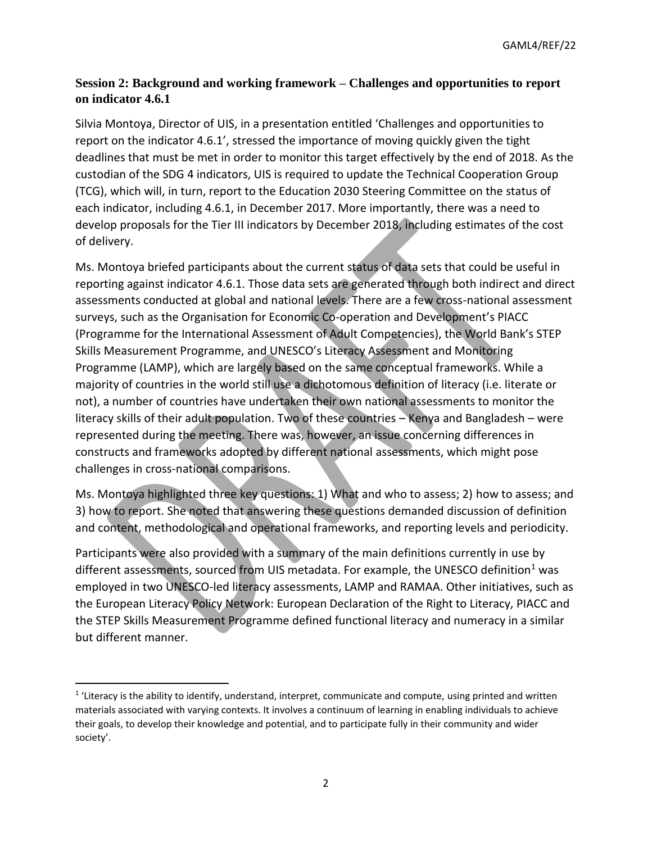## **Session 2: Background and working framework – Challenges and opportunities to report on indicator 4.6.1**

Silvia Montoya, Director of UIS, in a presentation entitled 'Challenges and opportunities to report on the indicator 4.6.1', stressed the importance of moving quickly given the tight deadlines that must be met in order to monitor this target effectively by the end of 2018. As the custodian of the SDG 4 indicators, UIS is required to update the Technical Cooperation Group (TCG), which will, in turn, report to the Education 2030 Steering Committee on the status of each indicator, including 4.6.1, in December 2017. More importantly, there was a need to develop proposals for the Tier III indicators by December 2018, including estimates of the cost of delivery.

Ms. Montoya briefed participants about the current status of data sets that could be useful in reporting against indicator 4.6.1. Those data sets are generated through both indirect and direct assessments conducted at global and national levels. There are a few cross-national assessment surveys, such as the Organisation for Economic Co-operation and Development's PIACC (Programme for the International Assessment of Adult Competencies), the World Bank's STEP Skills Measurement Programme, and UNESCO's Literacy Assessment and Monitoring Programme (LAMP), which are largely based on the same conceptual frameworks. While a majority of countries in the world still use a dichotomous definition of literacy (i.e. literate or not), a number of countries have undertaken their own national assessments to monitor the literacy skills of their adult population. Two of these countries – Kenya and Bangladesh – were represented during the meeting. There was, however, an issue concerning differences in constructs and frameworks adopted by different national assessments, which might pose challenges in cross-national comparisons.

Ms. Montoya highlighted three key questions: 1) What and who to assess; 2) how to assess; and 3) how to report. She noted that answering these questions demanded discussion of definition and content, methodological and operational frameworks, and reporting levels and periodicity.

Participants were also provided with a summary of the main definitions currently in use by different assessments, sourced from UIS metadata. For example, the UNESCO definition<sup>1</sup> was employed in two UNESCO-led literacy assessments, LAMP and RAMAA. Other initiatives, such as the European Literacy Policy Network: European Declaration of the Right to Literacy, PIACC and the STEP Skills Measurement Programme defined functional literacy and numeracy in a similar but different manner.

 $\overline{a}$ 

 $1$  'Literacy is the ability to identify, understand, interpret, communicate and compute, using printed and written materials associated with varying contexts. It involves a continuum of learning in enabling individuals to achieve their goals, to develop their knowledge and potential, and to participate fully in their community and wider society'.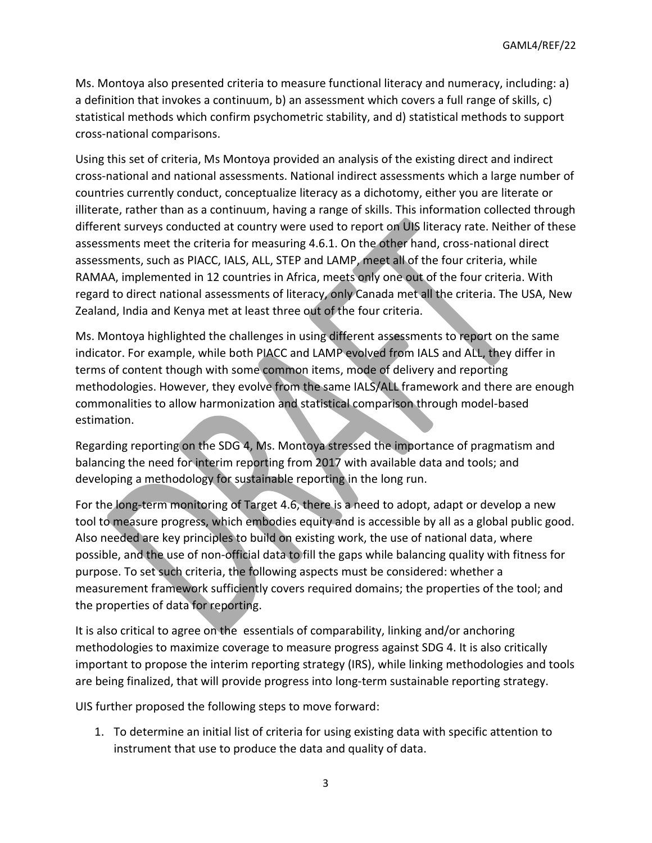Ms. Montoya also presented criteria to measure functional literacy and numeracy, including: a) a definition that invokes a continuum, b) an assessment which covers a full range of skills, c) statistical methods which confirm psychometric stability, and d) statistical methods to support cross-national comparisons.

Using this set of criteria, Ms Montoya provided an analysis of the existing direct and indirect cross-national and national assessments. National indirect assessments which a large number of countries currently conduct, conceptualize literacy as a dichotomy, either you are literate or illiterate, rather than as a continuum, having a range of skills. This information collected through different surveys conducted at country were used to report on UIS literacy rate. Neither of these assessments meet the criteria for measuring 4.6.1. On the other hand, cross-national direct assessments, such as PIACC, IALS, ALL, STEP and LAMP, meet all of the four criteria, while RAMAA, implemented in 12 countries in Africa, meets only one out of the four criteria. With regard to direct national assessments of literacy, only Canada met all the criteria. The USA, New Zealand, India and Kenya met at least three out of the four criteria.

Ms. Montoya highlighted the challenges in using different assessments to report on the same indicator. For example, while both PIACC and LAMP evolved from IALS and ALL, they differ in terms of content though with some common items, mode of delivery and reporting methodologies. However, they evolve from the same IALS/ALL framework and there are enough commonalities to allow harmonization and statistical comparison through model-based estimation.

Regarding reporting on the SDG 4, Ms. Montoya stressed the importance of pragmatism and balancing the need for interim reporting from 2017 with available data and tools; and developing a methodology for sustainable reporting in the long run.

For the long-term monitoring of Target 4.6, there is a need to adopt, adapt or develop a new tool to measure progress, which embodies equity and is accessible by all as a global public good. Also needed are key principles to build on existing work, the use of national data, where possible, and the use of non-official data to fill the gaps while balancing quality with fitness for purpose. To set such criteria, the following aspects must be considered: whether a measurement framework sufficiently covers required domains; the properties of the tool; and the properties of data for reporting.

It is also critical to agree on the essentials of comparability, linking and/or anchoring methodologies to maximize coverage to measure progress against SDG 4. It is also critically important to propose the interim reporting strategy (IRS), while linking methodologies and tools are being finalized, that will provide progress into long-term sustainable reporting strategy.

UIS further proposed the following steps to move forward:

1. To determine an initial list of criteria for using existing data with specific attention to instrument that use to produce the data and quality of data.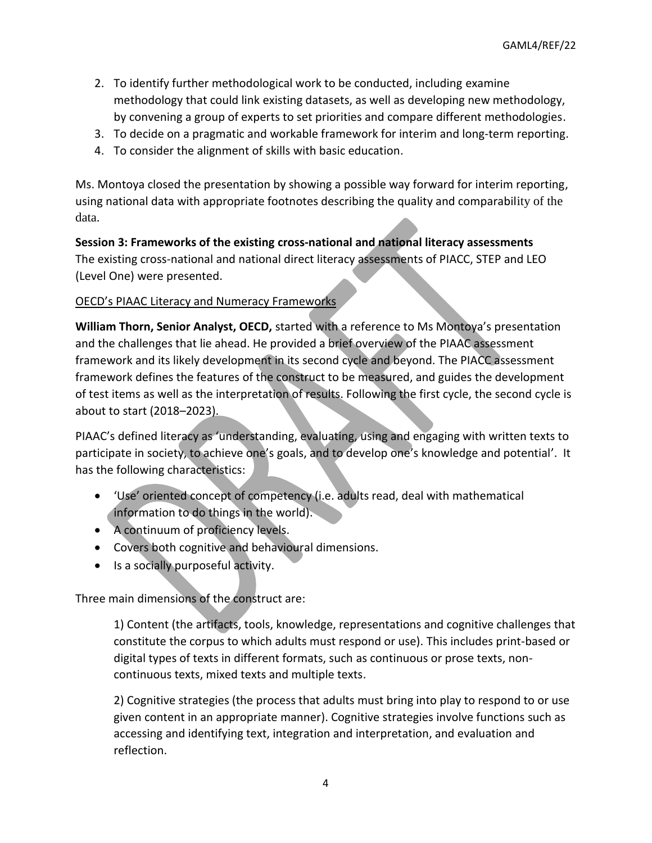- 2. To identify further methodological work to be conducted, including examine methodology that could link existing datasets, as well as developing new methodology, by convening a group of experts to set priorities and compare different methodologies.
- 3. To decide on a pragmatic and workable framework for interim and long-term reporting.
- 4. To consider the alignment of skills with basic education.

Ms. Montoya closed the presentation by showing a possible way forward for interim reporting, using national data with appropriate footnotes describing the quality and comparability of the data.

**Session 3: Frameworks of the existing cross-national and national literacy assessments** The existing cross-national and national direct literacy assessments of PIACC, STEP and LEO (Level One) were presented.

#### OECD's PIAAC Literacy and Numeracy Frameworks

**William Thorn, Senior Analyst, OECD,** started with a reference to Ms Montoya's presentation and the challenges that lie ahead. He provided a brief overview of the PIAAC assessment framework and its likely development in its second cycle and beyond. The PIACC assessment framework defines the features of the construct to be measured, and guides the development of test items as well as the interpretation of results. Following the first cycle, the second cycle is about to start (2018–2023).

PIAAC's defined literacy as 'understanding, evaluating, using and engaging with written texts to participate in society, to achieve one's goals, and to develop one's knowledge and potential'. It has the following characteristics:

- 'Use' oriented concept of competency (i.e. adults read, deal with mathematical information to do things in the world).
- A continuum of proficiency levels.
- Covers both cognitive and behavioural dimensions.
- Is a socially purposeful activity.

Three main dimensions of the construct are:

1) Content (the artifacts, tools, knowledge, representations and cognitive challenges that constitute the corpus to which adults must respond or use). This includes print-based or digital types of texts in different formats, such as continuous or prose texts, noncontinuous texts, mixed texts and multiple texts.

2) Cognitive strategies (the process that adults must bring into play to respond to or use given content in an appropriate manner). Cognitive strategies involve functions such as accessing and identifying text, integration and interpretation, and evaluation and reflection.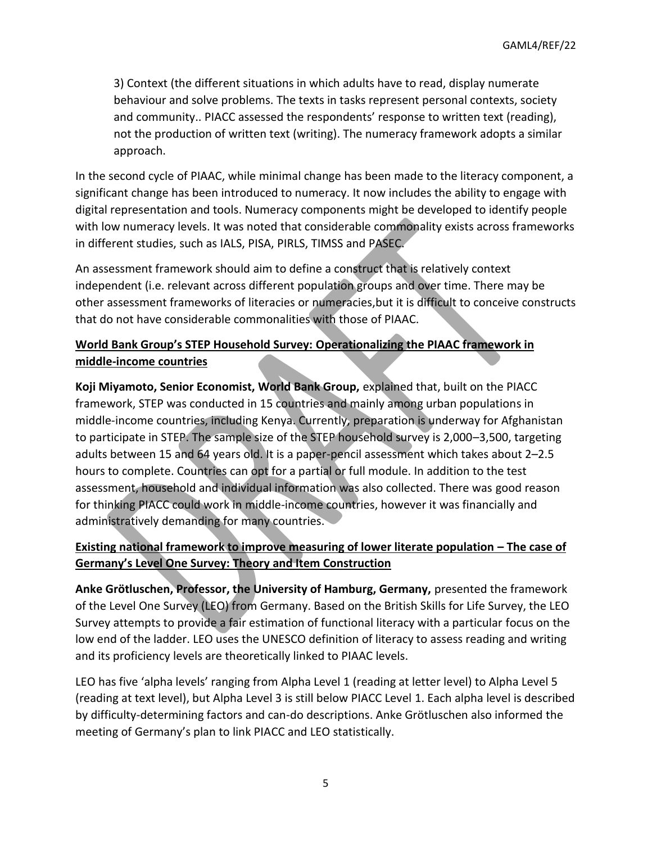3) Context (the different situations in which adults have to read, display numerate behaviour and solve problems. The texts in tasks represent personal contexts, society and community.. PIACC assessed the respondents' response to written text (reading), not the production of written text (writing). The numeracy framework adopts a similar approach.

In the second cycle of PIAAC, while minimal change has been made to the literacy component, a significant change has been introduced to numeracy. It now includes the ability to engage with digital representation and tools. Numeracy components might be developed to identify people with low numeracy levels. It was noted that considerable commonality exists across frameworks in different studies, such as IALS, PISA, PIRLS, TIMSS and PASEC.

An assessment framework should aim to define a construct that is relatively context independent (i.e. relevant across different population groups and over time. There may be other assessment frameworks of literacies or numeracies,but it is difficult to conceive constructs that do not have considerable commonalities with those of PIAAC.

## **World Bank Group's STEP Household Survey: Operationalizing the PIAAC framework in middle-income countries**

**Koji Miyamoto, Senior Economist, World Bank Group,** explained that, built on the PIACC framework, STEP was conducted in 15 countries and mainly among urban populations in middle-income countries, including Kenya. Currently, preparation is underway for Afghanistan to participate in STEP. The sample size of the STEP household survey is 2,000–3,500, targeting adults between 15 and 64 years old. It is a paper-pencil assessment which takes about 2–2.5 hours to complete. Countries can opt for a partial or full module. In addition to the test assessment, household and individual information was also collected. There was good reason for thinking PIACC could work in middle-income countries, however it was financially and administratively demanding for many countries.

## **Existing national framework to improve measuring of lower literate population – The case of Germany's Level One Survey: Theory and Item Construction**

**Anke Grötluschen, Professor, the University of Hamburg, Germany,** presented the framework of the Level One Survey (LEO) from Germany. Based on the British Skills for Life Survey, the LEO Survey attempts to provide a fair estimation of functional literacy with a particular focus on the low end of the ladder. LEO uses the UNESCO definition of literacy to assess reading and writing and its proficiency levels are theoretically linked to PIAAC levels.

LEO has five 'alpha levels' ranging from Alpha Level 1 (reading at letter level) to Alpha Level 5 (reading at text level), but Alpha Level 3 is still below PIACC Level 1. Each alpha level is described by difficulty-determining factors and can-do descriptions. Anke Grötluschen also informed the meeting of Germany's plan to link PIACC and LEO statistically.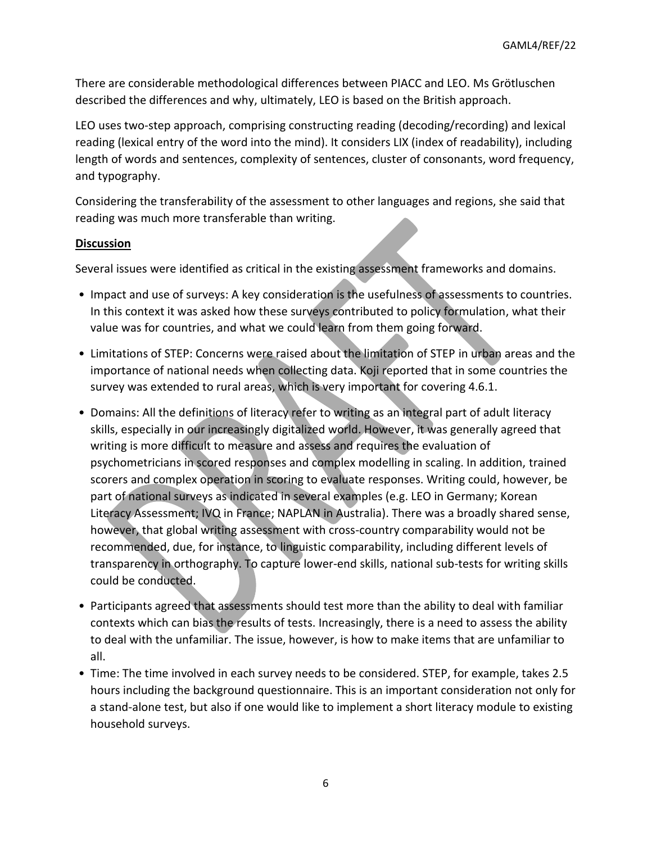There are considerable methodological differences between PIACC and LEO. Ms Grötluschen described the differences and why, ultimately, LEO is based on the British approach.

LEO uses two-step approach, comprising constructing reading (decoding/recording) and lexical reading (lexical entry of the word into the mind). It considers LIX (index of readability), including length of words and sentences, complexity of sentences, cluster of consonants, word frequency, and typography.

Considering the transferability of the assessment to other languages and regions, she said that reading was much more transferable than writing.

### **Discussion**

Several issues were identified as critical in the existing assessment frameworks and domains.

- Impact and use of surveys: A key consideration is the usefulness of assessments to countries. In this context it was asked how these surveys contributed to policy formulation, what their value was for countries, and what we could learn from them going forward.
- Limitations of STEP: Concerns were raised about the limitation of STEP in urban areas and the importance of national needs when collecting data. Koji reported that in some countries the survey was extended to rural areas, which is very important for covering 4.6.1.
- Domains: All the definitions of literacy refer to writing as an integral part of adult literacy skills, especially in our increasingly digitalized world. However, it was generally agreed that writing is more difficult to measure and assess and requires the evaluation of psychometricians in scored responses and complex modelling in scaling. In addition, trained scorers and complex operation in scoring to evaluate responses. Writing could, however, be part of national surveys as indicated in several examples (e.g. LEO in Germany; Korean Literacy Assessment; IVQ in France; NAPLAN in Australia). There was a broadly shared sense, however, that global writing assessment with cross-country comparability would not be recommended, due, for instance, to linguistic comparability, including different levels of transparency in orthography. To capture lower-end skills, national sub-tests for writing skills could be conducted.
- Participants agreed that assessments should test more than the ability to deal with familiar contexts which can bias the results of tests. Increasingly, there is a need to assess the ability to deal with the unfamiliar. The issue, however, is how to make items that are unfamiliar to all.
- Time: The time involved in each survey needs to be considered. STEP, for example, takes 2.5 hours including the background questionnaire. This is an important consideration not only for a stand-alone test, but also if one would like to implement a short literacy module to existing household surveys.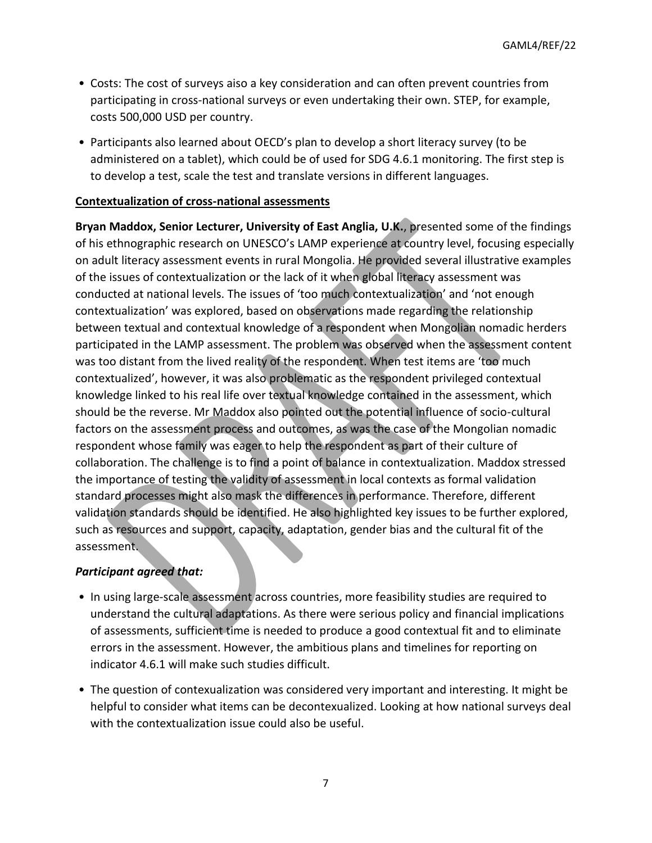- Costs: The cost of surveys aiso a key consideration and can often prevent countries from participating in cross-national surveys or even undertaking their own. STEP, for example, costs 500,000 USD per country.
- Participants also learned about OECD's plan to develop a short literacy survey (to be administered on a tablet), which could be of used for SDG 4.6.1 monitoring. The first step is to develop a test, scale the test and translate versions in different languages.

#### **Contextualization of cross-national assessments**

**Bryan Maddox, Senior Lecturer, University of East Anglia, U.K.**, presented some of the findings of his ethnographic research on UNESCO's LAMP experience at country level, focusing especially on adult literacy assessment events in rural Mongolia. He provided several illustrative examples of the issues of contextualization or the lack of it when global literacy assessment was conducted at national levels. The issues of 'too much contextualization' and 'not enough contextualization' was explored, based on observations made regarding the relationship between textual and contextual knowledge of a respondent when Mongolian nomadic herders participated in the LAMP assessment. The problem was observed when the assessment content was too distant from the lived reality of the respondent. When test items are 'too much contextualized', however, it was also problematic as the respondent privileged contextual knowledge linked to his real life over textual knowledge contained in the assessment, which should be the reverse. Mr Maddox also pointed out the potential influence of socio-cultural factors on the assessment process and outcomes, as was the case of the Mongolian nomadic respondent whose family was eager to help the respondent as part of their culture of collaboration. The challenge is to find a point of balance in contextualization. Maddox stressed the importance of testing the validity of assessment in local contexts as formal validation standard processes might also mask the differences in performance. Therefore, different validation standards should be identified. He also highlighted key issues to be further explored, such as resources and support, capacity, adaptation, gender bias and the cultural fit of the assessment.

#### *Participant agreed that:*

- In using large-scale assessment across countries, more feasibility studies are required to understand the cultural adaptations. As there were serious policy and financial implications of assessments, sufficient time is needed to produce a good contextual fit and to eliminate errors in the assessment. However, the ambitious plans and timelines for reporting on indicator 4.6.1 will make such studies difficult.
- The question of contexualization was considered very important and interesting. It might be helpful to consider what items can be decontexualized. Looking at how national surveys deal with the contextualization issue could also be useful.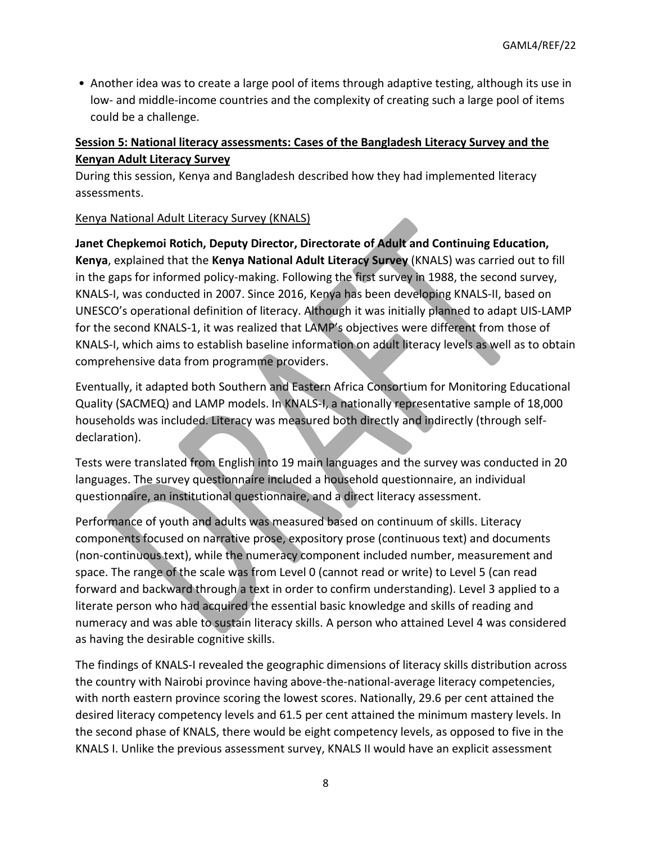• Another idea was to create a large pool of items through adaptive testing, although its use in low- and middle-income countries and the complexity of creating such a large pool of items could be a challenge.

## **Session 5: National literacy assessments: Cases of the Bangladesh Literacy Survey and the Kenyan Adult Literacy Survey**

During this session, Kenya and Bangladesh described how they had implemented literacy assessments.

### Kenya National Adult Literacy Survey (KNALS)

**Janet Chepkemoi Rotich, Deputy Director, Directorate of Adult and Continuing Education, Kenya**, explained that the **Kenya National Adult Literacy Survey** (KNALS) was carried out to fill in the gaps for informed policy-making. Following the first survey in 1988, the second survey, KNALS-I, was conducted in 2007. Since 2016, Kenya has been developing KNALS-II, based on UNESCO's operational definition of literacy. Although it was initially planned to adapt UIS-LAMP for the second KNALS-1, it was realized that LAMP's objectives were different from those of KNALS-I, which aims to establish baseline information on adult literacy levels as well as to obtain comprehensive data from programme providers.

Eventually, it adapted both Southern and Eastern Africa Consortium for Monitoring Educational Quality (SACMEQ) and LAMP models. In KNALS-I, a nationally representative sample of 18,000 households was included. Literacy was measured both directly and indirectly (through selfdeclaration).

Tests were translated from English into 19 main languages and the survey was conducted in 20 languages. The survey questionnaire included a household questionnaire, an individual questionnaire, an institutional questionnaire, and a direct literacy assessment.

Performance of youth and adults was measured based on continuum of skills. Literacy components focused on narrative prose, expository prose (continuous text) and documents (non-continuous text), while the numeracy component included number, measurement and space. The range of the scale was from Level 0 (cannot read or write) to Level 5 (can read forward and backward through a text in order to confirm understanding). Level 3 applied to a literate person who had acquired the essential basic knowledge and skills of reading and numeracy and was able to sustain literacy skills. A person who attained Level 4 was considered as having the desirable cognitive skills.

The findings of KNALS-I revealed the geographic dimensions of literacy skills distribution across the country with Nairobi province having above-the-national-average literacy competencies, with north eastern province scoring the lowest scores. Nationally, 29.6 per cent attained the desired literacy competency levels and 61.5 per cent attained the minimum mastery levels. In the second phase of KNALS, there would be eight competency levels, as opposed to five in the KNALS I. Unlike the previous assessment survey, KNALS II would have an explicit assessment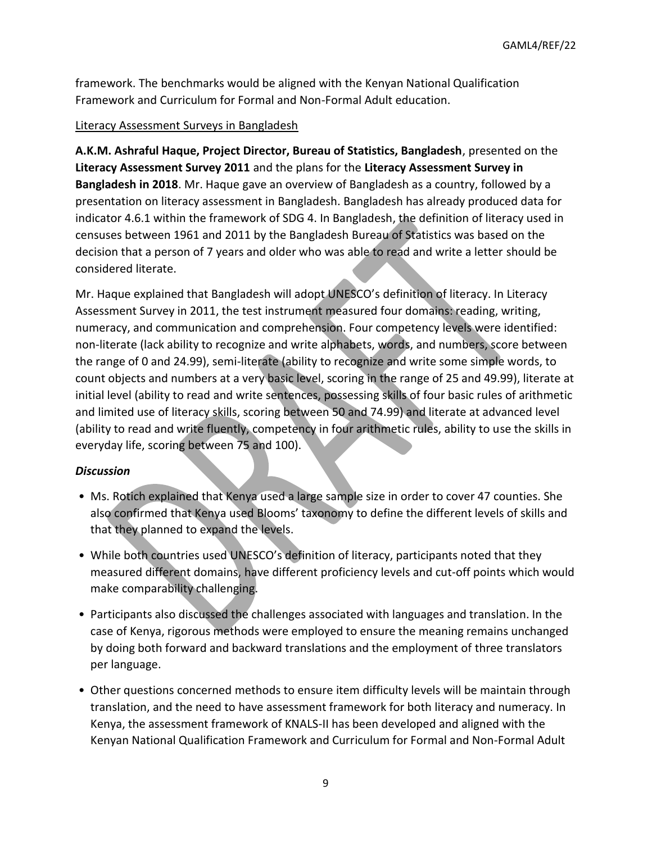framework. The benchmarks would be aligned with the Kenyan National Qualification Framework and Curriculum for Formal and Non-Formal Adult education.

#### Literacy Assessment Surveys in Bangladesh

**A.K.M. Ashraful Haque, Project Director, Bureau of Statistics, Bangladesh**, presented on the **Literacy Assessment Survey 2011** and the plans for the **Literacy Assessment Survey in Bangladesh in 2018**. Mr. Haque gave an overview of Bangladesh as a country, followed by a presentation on literacy assessment in Bangladesh. Bangladesh has already produced data for indicator 4.6.1 within the framework of SDG 4. In Bangladesh, the definition of literacy used in censuses between 1961 and 2011 by the Bangladesh Bureau of Statistics was based on the decision that a person of 7 years and older who was able to read and write a letter should be considered literate.

Mr. Haque explained that Bangladesh will adopt UNESCO's definition of literacy. In Literacy Assessment Survey in 2011, the test instrument measured four domains: reading, writing, numeracy, and communication and comprehension. Four competency levels were identified: non-literate (lack ability to recognize and write alphabets, words, and numbers, score between the range of 0 and 24.99), semi-literate (ability to recognize and write some simple words, to count objects and numbers at a very basic level, scoring in the range of 25 and 49.99), literate at initial level (ability to read and write sentences, possessing skills of four basic rules of arithmetic and limited use of literacy skills, scoring between 50 and 74.99) and literate at advanced level (ability to read and write fluently, competency in four arithmetic rules, ability to use the skills in everyday life, scoring between 75 and 100).

#### *Discussion*

- Ms. Rotich explained that Kenya used a large sample size in order to cover 47 counties. She also confirmed that Kenya used Blooms' taxonomy to define the different levels of skills and that they planned to expand the levels.
- While both countries used UNESCO's definition of literacy, participants noted that they measured different domains, have different proficiency levels and cut-off points which would make comparability challenging.
- Participants also discussed the challenges associated with languages and translation. In the case of Kenya, rigorous methods were employed to ensure the meaning remains unchanged by doing both forward and backward translations and the employment of three translators per language.
- Other questions concerned methods to ensure item difficulty levels will be maintain through translation, and the need to have assessment framework for both literacy and numeracy. In Kenya, the assessment framework of KNALS-II has been developed and aligned with the Kenyan National Qualification Framework and Curriculum for Formal and Non-Formal Adult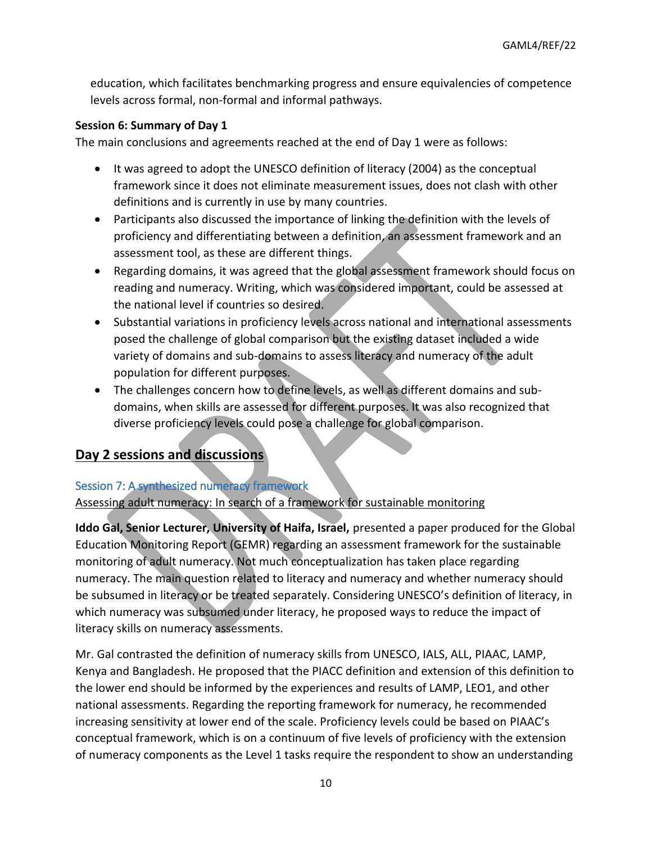education, which facilitates benchmarking progress and ensure equivalencies of competence levels across formal, non-formal and informal pathways.

#### **Session 6: Summary of Day 1**

The main conclusions and agreements reached at the end of Day 1 were as follows:

- It was agreed to adopt the UNESCO definition of literacy (2004) as the conceptual framework since it does not eliminate measurement issues, does not clash with other definitions and is currently in use by many countries.
- Participants also discussed the importance of linking the definition with the levels of proficiency and differentiating between a definition, an assessment framework and an assessment tool, as these are different things.
- Regarding domains, it was agreed that the global assessment framework should focus on reading and numeracy. Writing, which was considered important, could be assessed at the national level if countries so desired.
- Substantial variations in proficiency levels across national and international assessments posed the challenge of global comparison but the existing dataset included a wide variety of domains and sub-domains to assess literacy and numeracy of the adult population for different purposes.
- The challenges concern how to define levels, as well as different domains and subdomains, when skills are assessed for different purposes. It was also recognized that diverse proficiency levels could pose a challenge for global comparison.

# **Day 2 sessions and discussions**

### Session 7: A synthesized numeracy framework

Assessing adult numeracy: In search of a framework for sustainable monitoring

**Iddo Gal, Senior Lecturer, University of Haifa, Israel,** presented a paper produced for the Global Education Monitoring Report (GEMR) regarding an assessment framework for the sustainable monitoring of adult numeracy. Not much conceptualization has taken place regarding numeracy. The main question related to literacy and numeracy and whether numeracy should be subsumed in literacy or be treated separately. Considering UNESCO's definition of literacy, in which numeracy was subsumed under literacy, he proposed ways to reduce the impact of literacy skills on numeracy assessments.

Mr. Gal contrasted the definition of numeracy skills from UNESCO, IALS, ALL, PIAAC, LAMP, Kenya and Bangladesh. He proposed that the PIACC definition and extension of this definition to the lower end should be informed by the experiences and results of LAMP, LEO1, and other national assessments. Regarding the reporting framework for numeracy, he recommended increasing sensitivity at lower end of the scale. Proficiency levels could be based on PIAAC's conceptual framework, which is on a continuum of five levels of proficiency with the extension of numeracy components as the Level 1 tasks require the respondent to show an understanding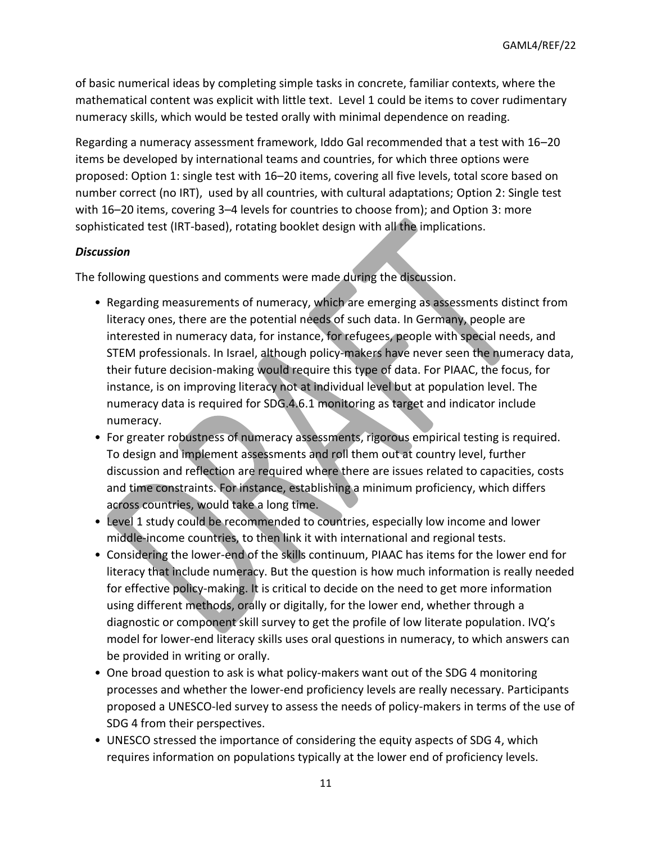of basic numerical ideas by completing simple tasks in concrete, familiar contexts, where the mathematical content was explicit with little text. Level 1 could be items to cover rudimentary numeracy skills, which would be tested orally with minimal dependence on reading.

Regarding a numeracy assessment framework, Iddo Gal recommended that a test with 16–20 items be developed by international teams and countries, for which three options were proposed: Option 1: single test with 16–20 items, covering all five levels, total score based on number correct (no IRT), used by all countries, with cultural adaptations; Option 2: Single test with 16–20 items, covering 3–4 levels for countries to choose from); and Option 3: more sophisticated test (IRT-based), rotating booklet design with all the implications.

#### *Discussion*

The following questions and comments were made during the discussion.

- Regarding measurements of numeracy, which are emerging as assessments distinct from literacy ones, there are the potential needs of such data. In Germany, people are interested in numeracy data, for instance, for refugees, people with special needs, and STEM professionals. In Israel, although policy-makers have never seen the numeracy data, their future decision-making would require this type of data. For PIAAC, the focus, for instance, is on improving literacy not at individual level but at population level. The numeracy data is required for SDG.4.6.1 monitoring as target and indicator include numeracy.
- For greater robustness of numeracy assessments, rigorous empirical testing is required. To design and implement assessments and roll them out at country level, further discussion and reflection are required where there are issues related to capacities, costs and time constraints. For instance, establishing a minimum proficiency, which differs across countries, would take a long time.
- Level 1 study could be recommended to countries, especially low income and lower middle-income countries, to then link it with international and regional tests.
- Considering the lower-end of the skills continuum, PIAAC has items for the lower end for literacy that include numeracy. But the question is how much information is really needed for effective policy-making. It is critical to decide on the need to get more information using different methods, orally or digitally, for the lower end, whether through a diagnostic or component skill survey to get the profile of low literate population. IVQ's model for lower-end literacy skills uses oral questions in numeracy, to which answers can be provided in writing or orally.
- One broad question to ask is what policy-makers want out of the SDG 4 monitoring processes and whether the lower-end proficiency levels are really necessary. Participants proposed a UNESCO-led survey to assess the needs of policy-makers in terms of the use of SDG 4 from their perspectives.
- UNESCO stressed the importance of considering the equity aspects of SDG 4, which requires information on populations typically at the lower end of proficiency levels.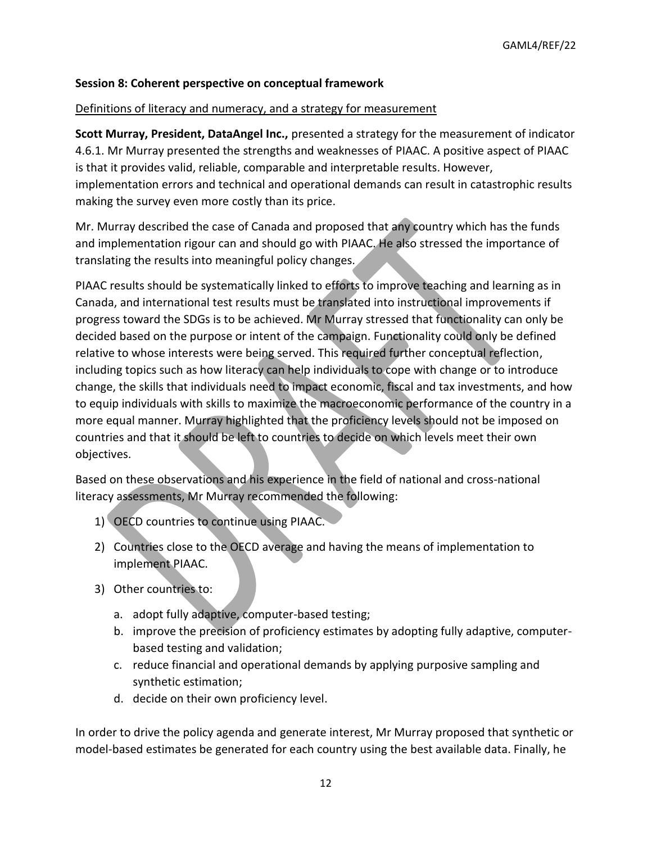#### **Session 8: Coherent perspective on conceptual framework**

#### Definitions of literacy and numeracy, and a strategy for measurement

**Scott Murray, President, DataAngel Inc.,** presented a strategy for the measurement of indicator 4.6.1. Mr Murray presented the strengths and weaknesses of PIAAC. A positive aspect of PIAAC is that it provides valid, reliable, comparable and interpretable results. However, implementation errors and technical and operational demands can result in catastrophic results making the survey even more costly than its price.

Mr. Murray described the case of Canada and proposed that any country which has the funds and implementation rigour can and should go with PIAAC. He also stressed the importance of translating the results into meaningful policy changes.

PIAAC results should be systematically linked to efforts to improve teaching and learning as in Canada, and international test results must be translated into instructional improvements if progress toward the SDGs is to be achieved. Mr Murray stressed that functionality can only be decided based on the purpose or intent of the campaign. Functionality could only be defined relative to whose interests were being served. This required further conceptual reflection, including topics such as how literacy can help individuals to cope with change or to introduce change, the skills that individuals need to impact economic, fiscal and tax investments, and how to equip individuals with skills to maximize the macroeconomic performance of the country in a more equal manner. Murray highlighted that the proficiency levels should not be imposed on countries and that it should be left to countries to decide on which levels meet their own objectives.

Based on these observations and his experience in the field of national and cross-national literacy assessments, Mr Murray recommended the following:

- 1) OECD countries to continue using PIAAC.
- 2) Countries close to the OECD average and having the means of implementation to implement PIAAC.
- 3) Other countries to:
	- a. adopt fully adaptive, computer-based testing;
	- b. improve the precision of proficiency estimates by adopting fully adaptive, computerbased testing and validation;
	- c. reduce financial and operational demands by applying purposive sampling and synthetic estimation;
	- d. decide on their own proficiency level.

In order to drive the policy agenda and generate interest, Mr Murray proposed that synthetic or model-based estimates be generated for each country using the best available data. Finally, he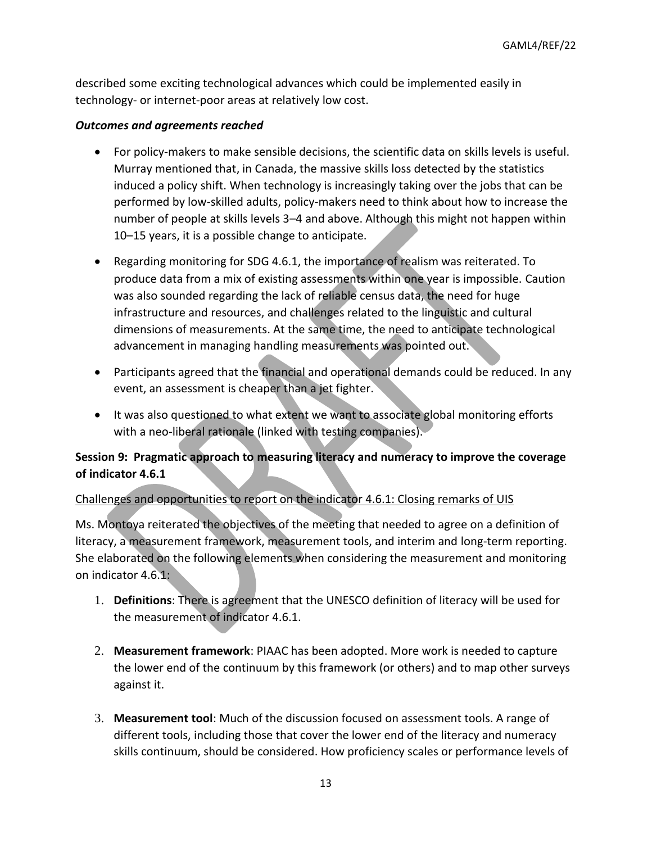described some exciting technological advances which could be implemented easily in technology- or internet-poor areas at relatively low cost.

### *Outcomes and agreements reached*

- For policy-makers to make sensible decisions, the scientific data on skills levels is useful. Murray mentioned that, in Canada, the massive skills loss detected by the statistics induced a policy shift. When technology is increasingly taking over the jobs that can be performed by low-skilled adults, policy-makers need to think about how to increase the number of people at skills levels 3–4 and above. Although this might not happen within 10–15 years, it is a possible change to anticipate.
- Regarding monitoring for SDG 4.6.1, the importance of realism was reiterated. To produce data from a mix of existing assessments within one year is impossible. Caution was also sounded regarding the lack of reliable census data, the need for huge infrastructure and resources, and challenges related to the linguistic and cultural dimensions of measurements. At the same time, the need to anticipate technological advancement in managing handling measurements was pointed out.
- Participants agreed that the financial and operational demands could be reduced. In any event, an assessment is cheaper than a jet fighter.
- It was also questioned to what extent we want to associate global monitoring efforts with a neo-liberal rationale (linked with testing companies).

## **Session 9: Pragmatic approach to measuring literacy and numeracy to improve the coverage of indicator 4.6.1**

### Challenges and opportunities to report on the indicator 4.6.1: Closing remarks of UIS

Ms. Montoya reiterated the objectives of the meeting that needed to agree on a definition of literacy, a measurement framework, measurement tools, and interim and long-term reporting. She elaborated on the following elements when considering the measurement and monitoring on indicator 4.6.1:

- 1. **Definitions**: There is agreement that the UNESCO definition of literacy will be used for the measurement of indicator 4.6.1.
- 2. **Measurement framework**: PIAAC has been adopted. More work is needed to capture the lower end of the continuum by this framework (or others) and to map other surveys against it.
- 3. **Measurement tool**: Much of the discussion focused on assessment tools. A range of different tools, including those that cover the lower end of the literacy and numeracy skills continuum, should be considered. How proficiency scales or performance levels of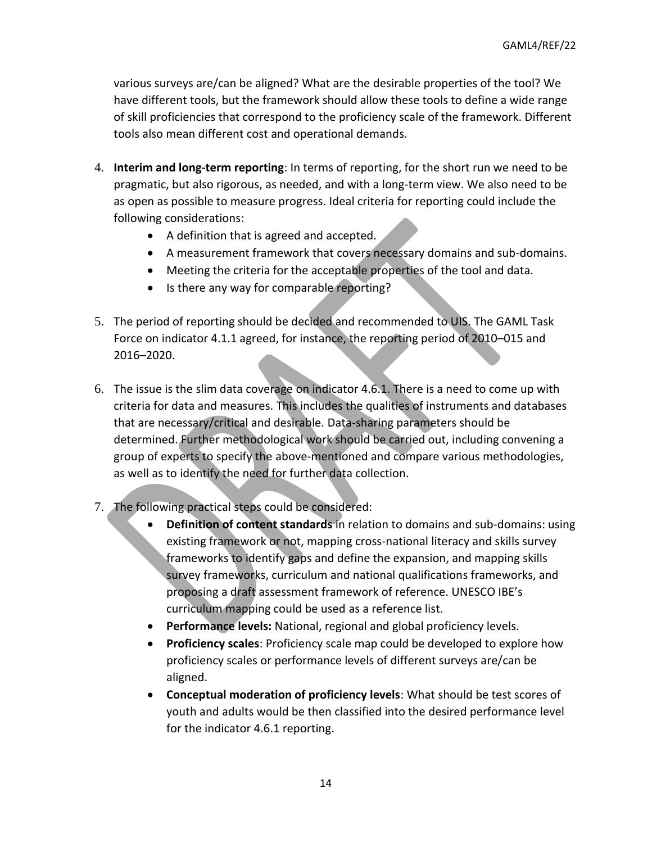various surveys are/can be aligned? What are the desirable properties of the tool? We have different tools, but the framework should allow these tools to define a wide range of skill proficiencies that correspond to the proficiency scale of the framework. Different tools also mean different cost and operational demands.

- 4. **Interim and long-term reporting**: In terms of reporting, for the short run we need to be pragmatic, but also rigorous, as needed, and with a long-term view. We also need to be as open as possible to measure progress. Ideal criteria for reporting could include the following considerations:
	- A definition that is agreed and accepted.
	- A measurement framework that covers necessary domains and sub-domains.
	- Meeting the criteria for the acceptable properties of the tool and data.
	- Is there any way for comparable reporting?
- 5. The period of reporting should be decided and recommended to UIS. The GAML Task Force on indicator 4.1.1 agreed, for instance, the reporting period of 2010–015 and 2016–2020.
- 6. The issue is the slim data coverage on indicator 4.6.1. There is a need to come up with criteria for data and measures. This includes the qualities of instruments and databases that are necessary/critical and desirable. Data-sharing parameters should be determined. Further methodological work should be carried out, including convening a group of experts to specify the above-mentioned and compare various methodologies, as well as to identify the need for further data collection.
- 7. The following practical steps could be considered:
	- **Definition of content standards** in relation to domains and sub-domains: using existing framework or not, mapping cross-national literacy and skills survey frameworks to identify gaps and define the expansion, and mapping skills survey frameworks, curriculum and national qualifications frameworks, and proposing a draft assessment framework of reference. UNESCO IBE's curriculum mapping could be used as a reference list.
	- **Performance levels:** National, regional and global proficiency levels.
	- **Proficiency scales**: Proficiency scale map could be developed to explore how proficiency scales or performance levels of different surveys are/can be aligned.
	- **Conceptual moderation of proficiency levels**: What should be test scores of youth and adults would be then classified into the desired performance level for the indicator 4.6.1 reporting.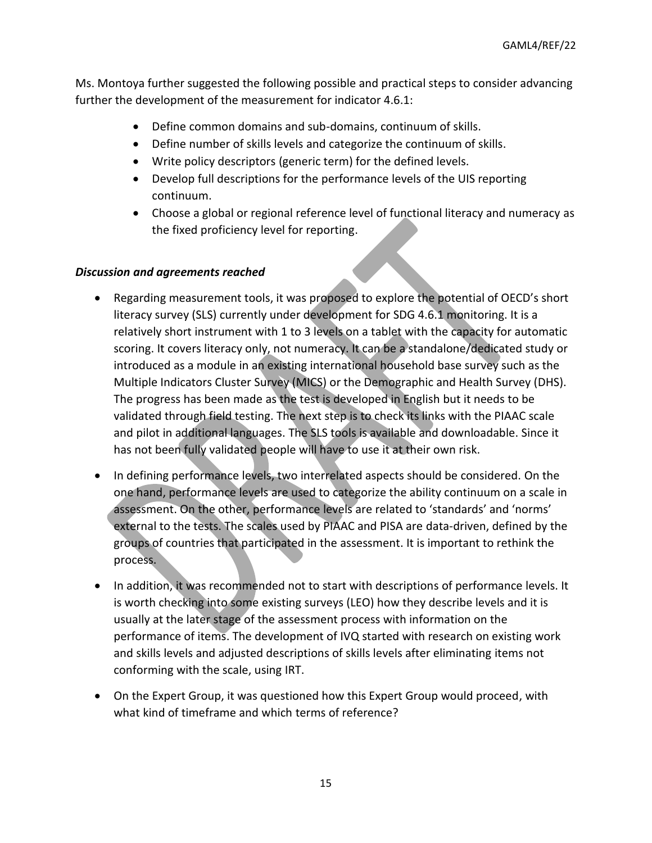Ms. Montoya further suggested the following possible and practical steps to consider advancing further the development of the measurement for indicator 4.6.1:

- Define common domains and sub-domains, continuum of skills.
- Define number of skills levels and categorize the continuum of skills.
- Write policy descriptors (generic term) for the defined levels.
- Develop full descriptions for the performance levels of the UIS reporting continuum.
- Choose a global or regional reference level of functional literacy and numeracy as the fixed proficiency level for reporting.

#### *Discussion and agreements reached*

- Regarding measurement tools, it was proposed to explore the potential of OECD's short literacy survey (SLS) currently under development for SDG 4.6.1 monitoring. It is a relatively short instrument with 1 to 3 levels on a tablet with the capacity for automatic scoring. It covers literacy only, not numeracy. It can be a standalone/dedicated study or introduced as a module in an existing international household base survey such as the Multiple Indicators Cluster Survey (MICS) or the Demographic and Health Survey (DHS). The progress has been made as the test is developed in English but it needs to be validated through field testing. The next step is to check its links with the PIAAC scale and pilot in additional languages. The SLS tools is available and downloadable. Since it has not been fully validated people will have to use it at their own risk.
- In defining performance levels, two interrelated aspects should be considered. On the one hand, performance levels are used to categorize the ability continuum on a scale in assessment. On the other, performance levels are related to 'standards' and 'norms' external to the tests. The scales used by PIAAC and PISA are data-driven, defined by the groups of countries that participated in the assessment. It is important to rethink the process.
- In addition, it was recommended not to start with descriptions of performance levels. It is worth checking into some existing surveys (LEO) how they describe levels and it is usually at the later stage of the assessment process with information on the performance of items. The development of IVQ started with research on existing work and skills levels and adjusted descriptions of skills levels after eliminating items not conforming with the scale, using IRT.
- On the Expert Group, it was questioned how this Expert Group would proceed, with what kind of timeframe and which terms of reference?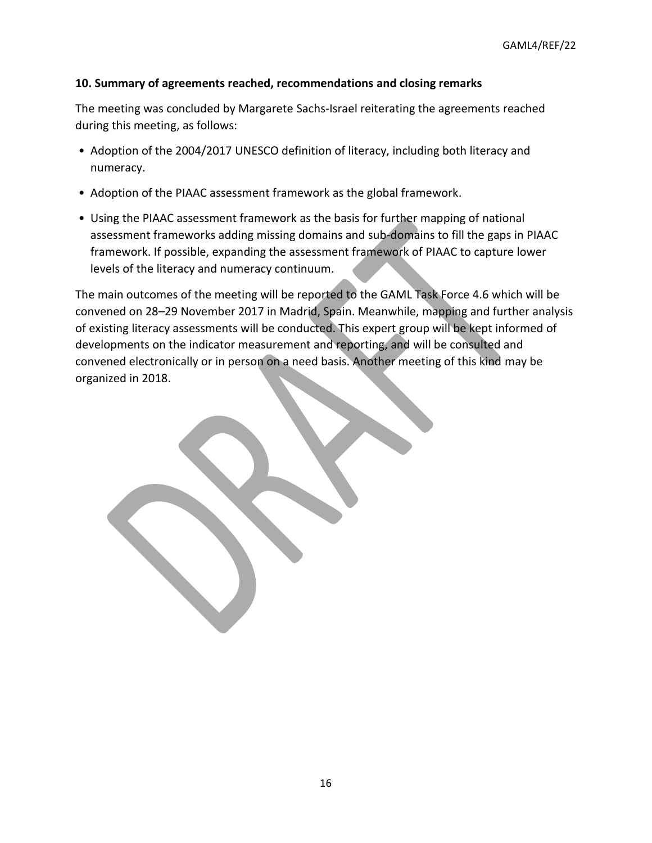### **10. Summary of agreements reached, recommendations and closing remarks**

The meeting was concluded by Margarete Sachs-Israel reiterating the agreements reached during this meeting, as follows:

- Adoption of the 2004/2017 UNESCO definition of literacy, including both literacy and numeracy.
- Adoption of the PIAAC assessment framework as the global framework.
- Using the PIAAC assessment framework as the basis for further mapping of national assessment frameworks adding missing domains and sub-domains to fill the gaps in PIAAC framework. If possible, expanding the assessment framework of PIAAC to capture lower levels of the literacy and numeracy continuum.

The main outcomes of the meeting will be reported to the GAML Task Force 4.6 which will be convened on 28–29 November 2017 in Madrid, Spain. Meanwhile, mapping and further analysis of existing literacy assessments will be conducted. This expert group will be kept informed of developments on the indicator measurement and reporting, and will be consulted and convened electronically or in person on a need basis. Another meeting of this kind may be organized in 2018.